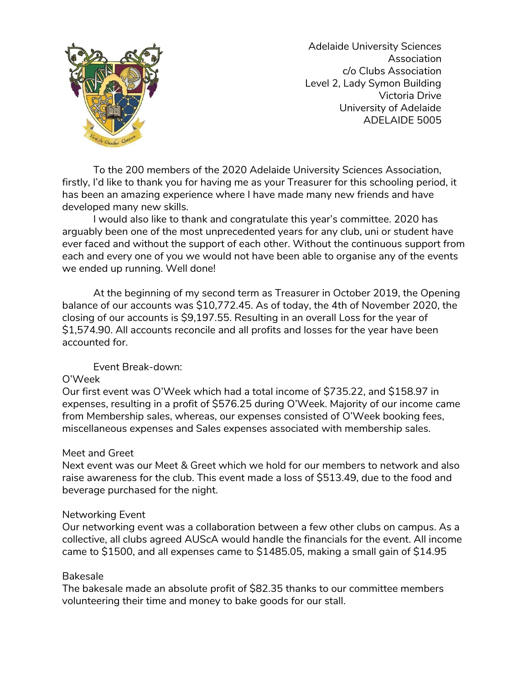

Adelaide University Sciences Association c/o Clubs Association Level 2, Lady Symon Building Victoria Drive University of Adelaide ADELAIDE 5005

To the 200 members of the 2020 Adelaide University Sciences Association, firstly, I'd like to thank you for having me as your Treasurer for this schooling period, it has been an amazing experience where I have made many new friends and have developed many new skills.

I would also like to thank and congratulate this year's committee. 2020 has arguably been one of the most unprecedented years for any club, uni or student have ever faced and without the support of each other. Without the continuous support from each and every one of you we would not have been able to organise any of the events we ended up running. Well done!

At the beginning of my second term as Treasurer in October 2019, the Opening balance of our accounts was \$10,772.45. As of today, the 4th of November 2020, the closing of our accounts is \$9,197.55. Resulting in an overall Loss for the year of \$1,574.90. All accounts reconcile and all profits and losses for the year have been accounted for.

Event Break-down:

# O'Week

Our first event was O'Week which had a total income of \$735.22, and \$158.97 in expenses, resulting in a profit of \$576.25 during O'Week. Majority of our income came from Membership sales, whereas, our expenses consisted of O'Week booking fees, miscellaneous expenses and Sales expenses associated with membership sales.

# Meet and Greet

Next event was our Meet & Greet which we hold for our members to network and also raise awareness for the club. This event made a loss of \$513.49, due to the food and beverage purchased for the night.

# Networking Event

Our networking event was a collaboration between a few other clubs on campus. As a collective, all clubs agreed AUScA would handle the financials for the event. All income came to \$1500, and all expenses came to \$1485.05, making a small gain of \$14.95

# Bakesale

The bakesale made an absolute profit of \$82.35 thanks to our committee members volunteering their time and money to bake goods for our stall.